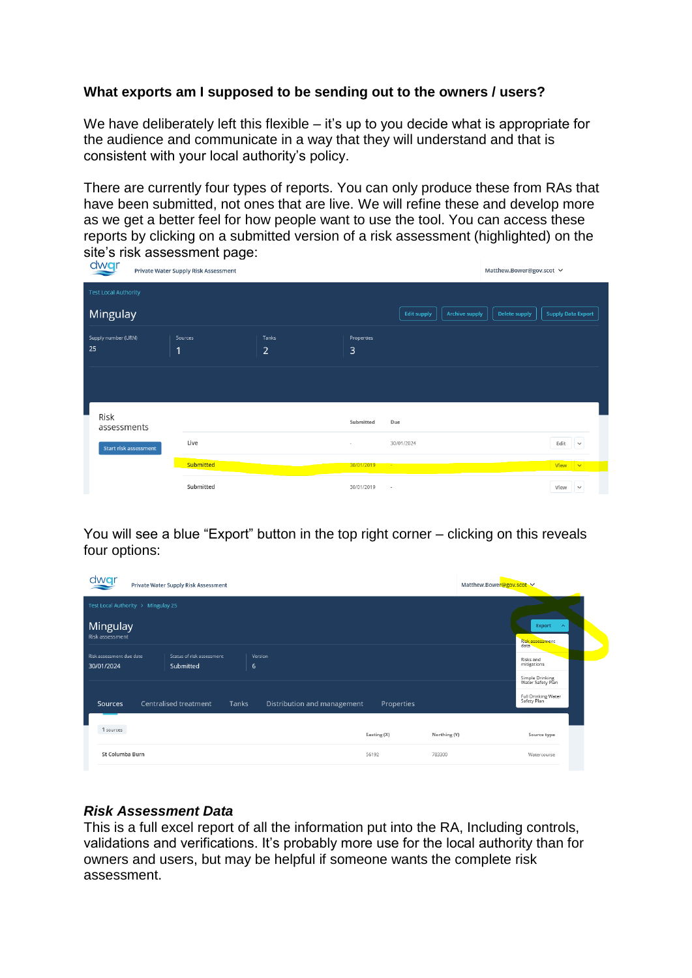# **What exports am I supposed to be sending out to the owners / users?**

We have deliberately left this flexible – it's up to you decide what is appropriate for the audience and communicate in a way that they will understand and that is consistent with your local authority's policy.

There are currently four types of reports. You can only produce these from RAs that have been submitted, not ones that are live. We will refine these and develop more as we get a better feel for how people want to use the tool. You can access these reports by clicking on a submitted version of a risk assessment (highlighted) on the site's risk assessment page:

| dwar<br>Private Water Supply Risk Assessment | Matthew.Bower@gov.scot V |                         |                 |                                             |               |                               |
|----------------------------------------------|--------------------------|-------------------------|-----------------|---------------------------------------------|---------------|-------------------------------|
| <b>Test Local Authority</b>                  |                          |                         |                 |                                             |               |                               |
| Mingulay                                     |                          |                         |                 | <b>Edit supply</b><br><b>Archive supply</b> | Delete supply | <b>Supply Data Export</b>     |
| Supply number (URN)<br>25                    | Sources<br>1             | Tanks<br>$\overline{2}$ | Properties<br>3 |                                             |               |                               |
|                                              |                          |                         |                 |                                             |               |                               |
| Risk<br>assessments                          |                          |                         | Submitted       | Due                                         |               |                               |
| <b>Start risk assessment</b>                 | Live                     |                         | $\sim$          | 30/01/2024                                  |               | Edit $\vee$                   |
|                                              | <b>Submitted</b>         |                         | 30/01/2019      |                                             |               | View $\vert \mathbf{v} \vert$ |
|                                              | Submitted                |                         | 30/01/2019      | $\sim$                                      |               | View<br>$\checkmark$          |

You will see a blue "Export" button in the top right corner – clicking on this reveals four options:

| dwar<br>Private Water Supply Risk Assessment |                                             |                             |             |              | Matthew.Bower@gov.scot               |  |
|----------------------------------------------|---------------------------------------------|-----------------------------|-------------|--------------|--------------------------------------|--|
| Test Local Authority > Mingulay 25           |                                             |                             |             |              |                                      |  |
| Mingulay<br>Risk assessment                  | Export<br>$\sim$<br>Risk assessment<br>data |                             |             |              |                                      |  |
| Risk assessment due date                     | Status of risk assessment                   | Version                     |             |              | Risks and<br>mitigations             |  |
| 30/01/2024                                   | Submitted                                   | 6                           |             |              |                                      |  |
|                                              |                                             |                             |             |              | Simple Drinking<br>Water Safety Plan |  |
| Sources                                      | Centralised treatment<br>Tanks              | Distribution and management | Properties  |              | Full Drinking Water<br>Safety Plan   |  |
| 1 sources                                    |                                             |                             |             |              |                                      |  |
|                                              |                                             |                             | Easting (X) | Northing (Y) | Source type                          |  |
| St Columba Burn                              |                                             |                             | 56192       | 783300       | Watercourse                          |  |

## *Risk Assessment Data*

This is a full excel report of all the information put into the RA, Including controls, validations and verifications. It's probably more use for the local authority than for owners and users, but may be helpful if someone wants the complete risk assessment.